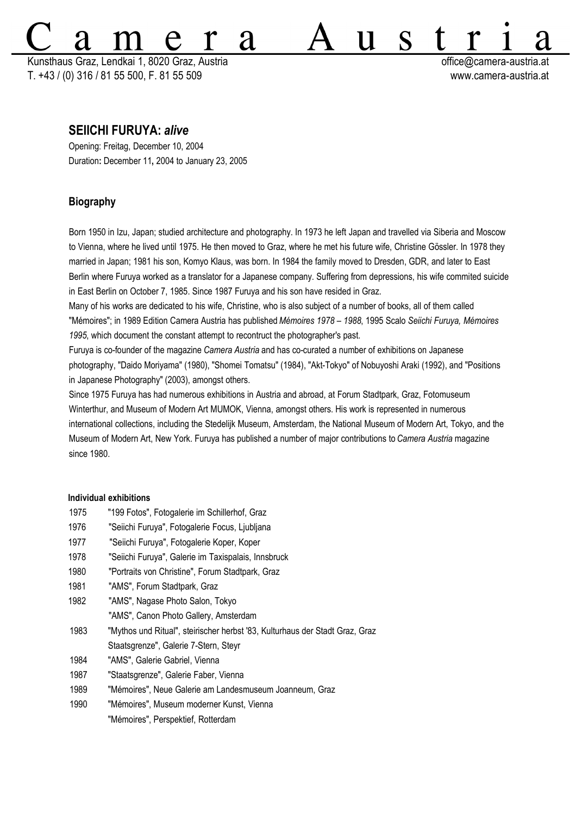Kunsthaus Graz, Lendkai 1, 8020 Graz, Austria **office.** The contract of the contract office @camera-austria.at T. +43 / (0) 316 / 81 55 500, F. 81 55 509 www.camera-austria.at

S

 $\mathbf U$ 

# **SEIICHI FURUYA:** *alive*

Opening: Freitag, December 10, 2004 Duration**:** December 11**,** 2004 to January 23, 2005

# **Biography**

Born 1950 in Izu, Japan; studied architecture and photography. In 1973 he left Japan and travelled via Siberia and Moscow to Vienna, where he lived until 1975. He then moved to Graz, where he met his future wife, Christine Gössler. In 1978 they married in Japan; 1981 his son, Komyo Klaus, was born. In 1984 the family moved to Dresden, GDR, and later to East Berlin where Furuya worked as a translator for a Japanese company. Suffering from depressions, his wife commited suicide in East Berlin on October 7, 1985. Since 1987 Furuya and his son have resided in Graz.

**'d** 

Many of his works are dedicated to his wife, Christine, who is also subject of a number of books, all of them called "Mémoires"; in 1989 Edition Camera Austria has published*Mémoires 1978 – 1988*, 1995 Scalo *Seiichi Furuya, Mémoires 1995*, which document the constant attempt to recontruct the photographer's past.

Furuya is co-founder of the magazine *Camera Austria* and has co-curated a number of exhibitions on Japanese photography, "Daido Moriyama" (1980), "Shomei Tomatsu" (1984), "Akt-Tokyo" of Nobuyoshi Araki (1992), and "Positions in Japanese Photography" (2003), amongst others.

Since 1975 Furuya has had numerous exhibitions in Austria and abroad, at Forum Stadtpark, Graz, Fotomuseum Winterthur, and Museum of Modern Art MUMOK, Vienna, amongst others. His work is represented in numerous international collections, including the Stedelijk Museum, Amsterdam, the National Museum of Modern Art, Tokyo, and the Museum of Modern Art, New York. Furuya has published a number of major contributions to *Camera Austria* magazine since 1980.

## **Individual exhibitions**

- 1975 "199 Fotos", Fotogalerie im Schillerhof, Graz
- 1976 "Seiichi Furuya", Fotogalerie Focus, Ljubljana
- 1977 "Seiichi Furuya", Fotogalerie Koper, Koper
- 1978 "Seiichi Furuya", Galerie im Taxispalais, Innsbruck
- 1980 "Portraits von Christine", Forum Stadtpark, Graz
- 1981 "AMS", Forum Stadtpark, Graz
- 1982 "AMS", Nagase Photo Salon, Tokyo "AMS", Canon Photo Gallery, Amsterdam
- 1983 "Mythos und Ritual", steirischer herbst '83, Kulturhaus der Stadt Graz, Graz
- Staatsgrenze", Galerie 7-Stern, Steyr
- 1984 "AMS", Galerie Gabriel, Vienna
- 1987 "Staatsgrenze", Galerie Faber, Vienna
- 1989 "Mémoires", Neue Galerie am Landesmuseum Joanneum, Graz
- 1990 "Mémoires", Museum moderner Kunst, Vienna
	- "Mémoires", Perspektief, Rotterdam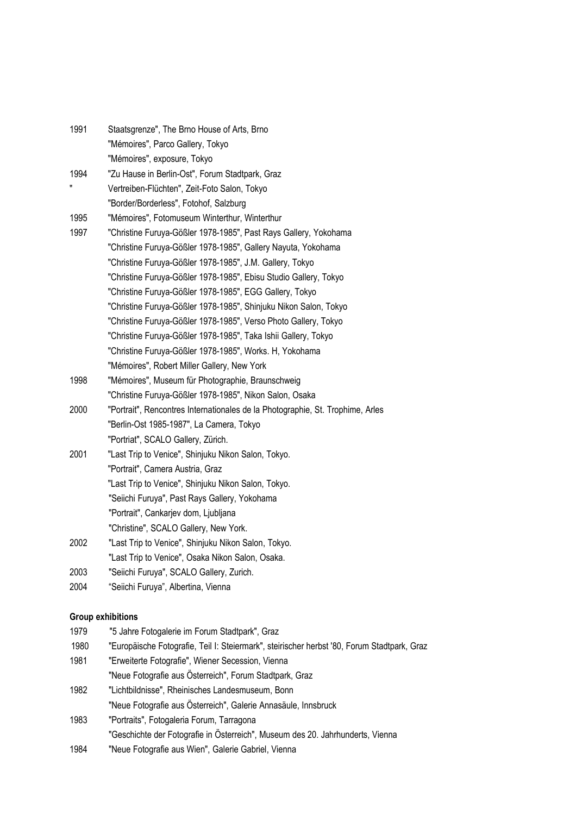| 1991 | Staatsgrenze", The Brno House of Arts, Brno                                    |
|------|--------------------------------------------------------------------------------|
|      | "Mémoires", Parco Gallery, Tokyo                                               |
|      | "Mémoires", exposure, Tokyo                                                    |
| 1994 | "Zu Hause in Berlin-Ost", Forum Stadtpark, Graz                                |
| 11   | Vertreiben-Flüchten", Zeit-Foto Salon, Tokyo                                   |
|      | "Border/Borderless", Fotohof, Salzburg                                         |
| 1995 | "Mémoires", Fotomuseum Winterthur, Winterthur                                  |
| 1997 | "Christine Furuya-Gößler 1978-1985", Past Rays Gallery, Yokohama               |
|      | "Christine Furuya-Gößler 1978-1985", Gallery Nayuta, Yokohama                  |
|      | "Christine Furuya-Gößler 1978-1985", J.M. Gallery, Tokyo                       |
|      | "Christine Furuya-Gößler 1978-1985", Ebisu Studio Gallery, Tokyo               |
|      | "Christine Furuya-Gößler 1978-1985", EGG Gallery, Tokyo                        |
|      | "Christine Furuya-Gößler 1978-1985", Shinjuku Nikon Salon, Tokyo               |
|      | "Christine Furuya-Gößler 1978-1985", Verso Photo Gallery, Tokyo                |
|      | "Christine Furuya-Gößler 1978-1985", Taka Ishii Gallery, Tokyo                 |
|      | "Christine Furuya-Gößler 1978-1985", Works. H, Yokohama                        |
|      | "Mémoires", Robert Miller Gallery, New York                                    |
| 1998 | "Mémoires", Museum für Photographie, Braunschweig                              |
|      | "Christine Furuya-Gößler 1978-1985", Nikon Salon, Osaka                        |
| 2000 | "Portrait", Rencontres Internationales de la Photographie, St. Trophime, Arles |
|      | "Berlin-Ost 1985-1987", La Camera, Tokyo                                       |
|      | "Portriat", SCALO Gallery, Zürich.                                             |
| 2001 | "Last Trip to Venice", Shinjuku Nikon Salon, Tokyo.                            |
|      | "Portrait", Camera Austria, Graz                                               |
|      | "Last Trip to Venice", Shinjuku Nikon Salon, Tokyo.                            |
|      | "Seiichi Furuya", Past Rays Gallery, Yokohama                                  |
|      | "Portrait", Cankarjev dom, Ljubljana                                           |
|      | "Christine", SCALO Gallery, New York.                                          |
| 2002 | "Last Trip to Venice", Shinjuku Nikon Salon, Tokyo.                            |
|      | "Last Trip to Venice", Osaka Nikon Salon, Osaka.                               |
| 2003 | "Seiichi Furuya", SCALO Gallery, Zurich.                                       |
| 2004 | "Seiichi Furuya", Albertina, Vienna                                            |
|      | <b>Group exhibitions</b>                                                       |
| 1979 | "5 Jahre Fotogalerie im Forum Stadtpark", Graz                                 |

- 1980 "Europäische Fotografie, Teil I: Steiermark", steirischer herbst '80, Forum Stadtpark, Graz
- 1981 "Erweiterte Fotografie", Wiener Secession, Vienna
- "Neue Fotografie aus Österreich", Forum Stadtpark, Graz
- 1982 "Lichtbildnisse", Rheinisches Landesmuseum, Bonn "Neue Fotografie aus Österreich", Galerie Annasäule, Innsbruck
- 1983 "Portraits", Fotogaleria Forum, Tarragona "Geschichte der Fotografie in Österreich", Museum des 20. Jahrhunderts, Vienna
- 1984 "Neue Fotografie aus Wien", Galerie Gabriel, Vienna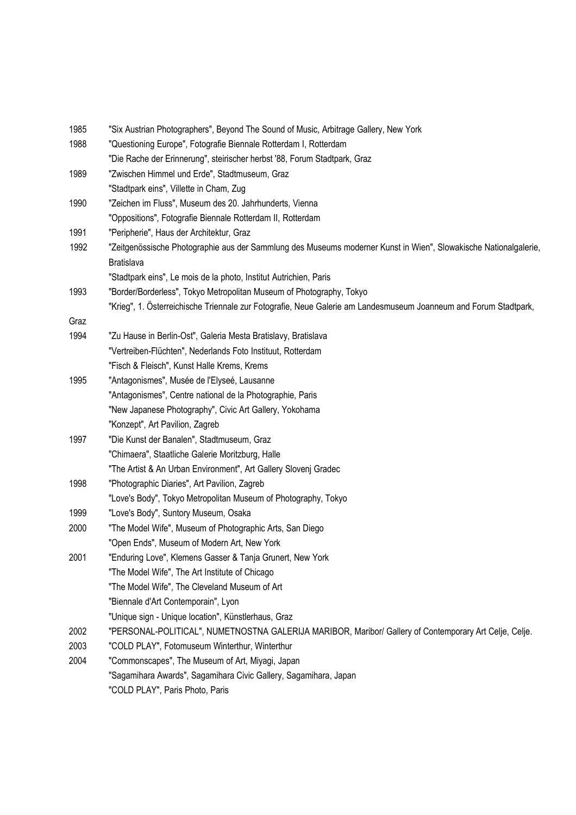| 1985 | "Six Austrian Photographers", Beyond The Sound of Music, Arbitrage Gallery, New York                             |
|------|------------------------------------------------------------------------------------------------------------------|
| 1988 | "Questioning Europe", Fotografie Biennale Rotterdam I, Rotterdam                                                 |
|      | "Die Rache der Erinnerung", steirischer herbst '88, Forum Stadtpark, Graz                                        |
| 1989 | "Zwischen Himmel und Erde", Stadtmuseum, Graz                                                                    |
|      | "Stadtpark eins", Villette in Cham, Zug                                                                          |
| 1990 | "Zeichen im Fluss", Museum des 20. Jahrhunderts, Vienna                                                          |
|      | "Oppositions", Fotografie Biennale Rotterdam II, Rotterdam                                                       |
| 1991 | "Peripherie", Haus der Architektur, Graz                                                                         |
| 1992 | "Zeitgenössische Photographie aus der Sammlung des Museums moderner Kunst in Wien", Slowakische Nationalgalerie, |
|      | <b>Bratislava</b>                                                                                                |
|      | "Stadtpark eins", Le mois de la photo, Institut Autrichien, Paris                                                |
| 1993 | "Border/Borderless", Tokyo Metropolitan Museum of Photography, Tokyo                                             |
|      | "Krieg", 1. Österreichische Triennale zur Fotografie, Neue Galerie am Landesmuseum Joanneum and Forum Stadtpark, |
| Graz |                                                                                                                  |
| 1994 | "Zu Hause in Berlin-Ost", Galeria Mesta Bratislavy, Bratislava                                                   |
|      | "Vertreiben-Flüchten", Nederlands Foto Instituut, Rotterdam                                                      |
|      | "Fisch & Fleisch", Kunst Halle Krems, Krems                                                                      |
| 1995 | "Antagonismes", Musée de l'Elyseé, Lausanne                                                                      |
|      | "Antagonismes", Centre national de la Photographie, Paris                                                        |
|      | "New Japanese Photography", Civic Art Gallery, Yokohama                                                          |
|      | "Konzept", Art Pavilion, Zagreb                                                                                  |
| 1997 | "Die Kunst der Banalen", Stadtmuseum, Graz                                                                       |
|      | "Chimaera", Staatliche Galerie Moritzburg, Halle                                                                 |
|      | "The Artist & An Urban Environment", Art Gallery Slovenj Gradec                                                  |
| 1998 | "Photographic Diaries", Art Pavilion, Zagreb                                                                     |
|      | "Love's Body", Tokyo Metropolitan Museum of Photography, Tokyo                                                   |
| 1999 | "Love's Body", Suntory Museum, Osaka                                                                             |
| 2000 | "The Model Wife", Museum of Photographic Arts, San Diego                                                         |
|      | "Open Ends", Museum of Modern Art, New York                                                                      |
| 2001 | "Enduring Love", Klemens Gasser & Tanja Grunert, New York                                                        |
|      | "The Model Wife", The Art Institute of Chicago                                                                   |
|      | "The Model Wife", The Cleveland Museum of Art                                                                    |
|      | "Biennale d'Art Contemporain", Lyon                                                                              |
|      | "Unique sign - Unique location", Künstlerhaus, Graz                                                              |
| 2002 | "PERSONAL-POLITICAL", NUMETNOSTNA GALERIJA MARIBOR, Maribor/ Gallery of Contemporary Art Celje, Celje.           |
| 2003 | "COLD PLAY", Fotomuseum Winterthur, Winterthur                                                                   |
| 2004 | "Commonscapes", The Museum of Art, Miyagi, Japan                                                                 |
|      | "Sagamihara Awards", Sagamihara Civic Gallery, Sagamihara, Japan                                                 |
|      | "COLD PLAY", Paris Photo, Paris                                                                                  |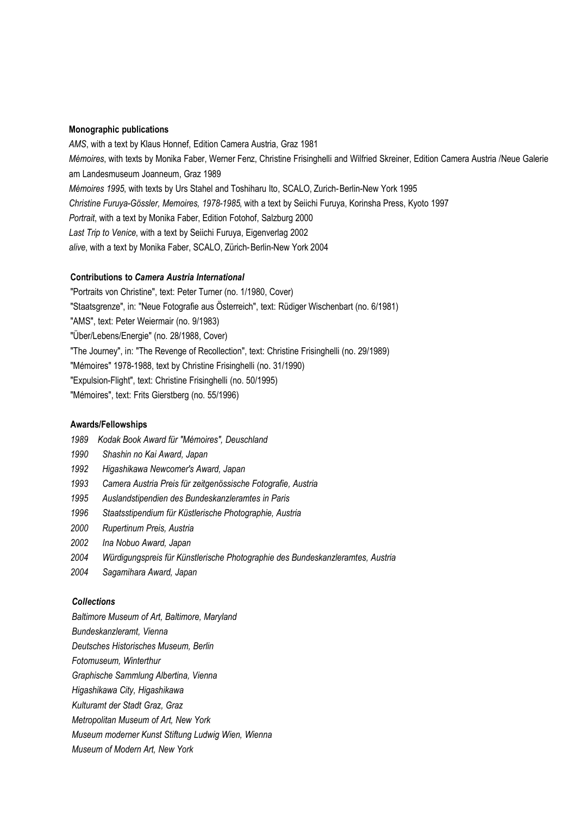#### **Monographic publications**

*AMS*, with a text by Klaus Honnef, Edition Camera Austria, Graz 1981 *Mémoires*, with texts by Monika Faber, Werner Fenz, Christine Frisinghelli and Wilfried Skreiner, Edition Camera Austria /Neue Galerie am Landesmuseum Joanneum, Graz 1989 *Mémoires 1995*, with texts by Urs Stahel and Toshiharu Ito, SCALO, Zurich-Berlin-New York 1995 *Christine Furuya-Gössler, Memoires, 1978-1985*, with a text by Seiichi Furuya, Korinsha Press, Kyoto 1997 *Portrait*, with a text by Monika Faber, Edition Fotohof, Salzburg 2000 *Last Trip to Venice*, with a text by Seiichi Furuya, Eigenverlag 2002 *alive*, with a text by Monika Faber, SCALO, Zürich-Berlin-New York 2004

#### **Contributions to** *Camera Austria International*

"Portraits von Christine", text: Peter Turner (no. 1/1980, Cover) "Staatsgrenze", in: "Neue Fotografie aus Österreich", text: Rüdiger Wischenbart (no. 6/1981) "AMS", text: Peter Weiermair (no. 9/1983) "Über/Lebens/Energie" (no. 28/1988, Cover) "The Journey", in: "The Revenge of Recollection", text: Christine Frisinghelli (no. 29/1989) "Mémoires" 1978-1988, text by Christine Frisinghelli (no. 31/1990) "Expulsion-Flight", text: Christine Frisinghelli (no. 50/1995) "Mémoires", text: Frits Gierstberg (no. 55/1996)

### **Awards/Fellowships**

- *1989 Kodak Book Award für "Mémoires", Deuschland*
- *1990 Shashin no Kai Award, Japan*
- *1992 Higashikawa Newcomer's Award, Japan*
- *1993 Camera Austria Preis für zeitgenössische Fotografie, Austria*
- *1995 Auslandstipendien des Bundeskanzleramtes in Paris*
- *1996 Staatsstipendium für Küstlerische Photographie, Austria*
- *2000 Rupertinum Preis, Austria*
- *2002 Ina Nobuo Award, Japan*
- *2004 Würdigungspreis für Künstlerische Photographie des Bundeskanzleramtes, Austria*
- *2004 Sagamihara Award, Japan*

### *Collections*

*Baltimore Museum of Art, Baltimore, Maryland*

- *Bundeskanzleramt, Vienna*
- *Deutsches Historisches Museum, Berlin*
- *Fotomuseum, Winterthur*
- *Graphische Sammlung Albertina, Vienna*
- *Higashikawa City, Higashikawa*
- *Kulturamt der Stadt Graz, Graz*
- *Metropolitan Museum of Art, New York*
- *Museum moderner Kunst Stiftung Ludwig Wien, Wienna*
- *Museum of Modern Art, New York*